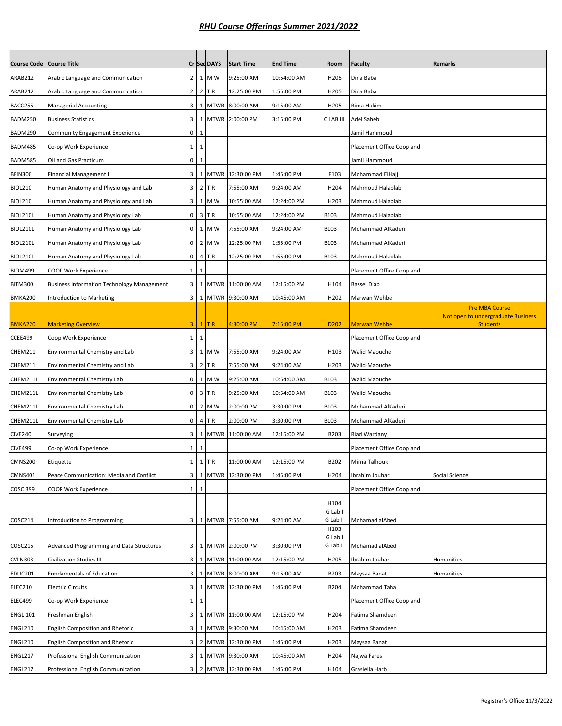| <b>Course Code</b> | <b>Course Title</b>                               |                         |              | Cr Sed DAYS | <b>Start Time</b>    | <b>End Time</b> | Room                        | <b>Faculty</b>            | <b>Remarks</b>                                        |
|--------------------|---------------------------------------------------|-------------------------|--------------|-------------|----------------------|-----------------|-----------------------------|---------------------------|-------------------------------------------------------|
| ARAB212            | Arabic Language and Communication                 | 2 <sup>1</sup>          |              | 1 M W       | 9:25:00 AM           | 10:54:00 AM     | H205                        | Dina Baba                 |                                                       |
| ARAB212            | Arabic Language and Communication                 | 2 <sub>1</sub>          |              | $2$ TR      | 12:25:00 PM          | 1:55:00 PM      | H <sub>205</sub>            | Dina Baba                 |                                                       |
| BACC255            | Managerial Accounting                             | $\overline{\mathbf{3}}$ |              |             | 1 MTWR 8:00:00 AM    | 9:15:00 AM      | H205                        | Rima Hakim                |                                                       |
| BADM250            | <b>Business Statistics</b>                        | 3 <sup>1</sup>          |              |             | 1 MTWR 2:00:00 PM    | 3:15:00 PM      | C LAB III                   | Adel Saheb                |                                                       |
| BADM290            | <b>Community Engagement Experience</b>            | $\circ$                 | 1            |             |                      |                 |                             | Jamil Hammoud             |                                                       |
| BADM485            | Co-op Work Experience                             | $1\vert$                | 1            |             |                      |                 |                             | Placement Office Coop and |                                                       |
| <b>BADM585</b>     | Oil and Gas Practicum                             | $\mathbf{0}$            | 1            |             |                      |                 |                             | Jamil Hammoud             |                                                       |
| <b>BFIN300</b>     | Financial Management I                            | 3 <sup>1</sup>          |              |             | 1 MTWR 12:30:00 PM   | 1:45:00 PM      | F103                        | Mohammad ElHajj           |                                                       |
| <b>BIOL210</b>     | Human Anatomy and Physiology and Lab              | 3 <sup>1</sup>          |              | $2$ TR      | 7:55:00 AM           | 9:24:00 AM      | H204                        | Mahmoud Halablab          |                                                       |
| <b>BIOL210</b>     | Human Anatomy and Physiology and Lab              |                         |              | 3 1 M W     | 10:55:00 AM          | 12:24:00 PM     | H203                        | Mahmoud Halablab          |                                                       |
| BIOL210L           | Human Anatomy and Physiology Lab                  | $\circ$                 |              | $3$ TR      | 10:55:00 AM          | 12:24:00 PM     | B103                        | Mahmoud Halablab          |                                                       |
| BIOL210L           | Human Anatomy and Physiology Lab                  | $\overline{0}$          |              | 1 M W       | 7:55:00 AM           | 9:24:00 AM      | <b>B103</b>                 | Mohammad AlKaderi         |                                                       |
| BIOL210L           | Human Anatomy and Physiology Lab                  | $\overline{0}$          |              | 2 M W       | 12:25:00 PM          | 1:55:00 PM      | B103                        | Mohammad AlKaderi         |                                                       |
| BIOL210L           | Human Anatomy and Physiology Lab                  | $\mathbf{0}$            |              | 4 TR        | 12:25:00 PM          | 1:55:00 PM      | <b>B103</b>                 | Mahmoud Halablab          |                                                       |
| <b>BIOM499</b>     | COOP Work Experience                              | $1\phantom{.0}$         | 1            |             |                      |                 |                             | Placement Office Coop and |                                                       |
| <b>BITM300</b>     | <b>Business Information Technology Management</b> | 3 <sup>1</sup>          |              |             | 1 MTWR 11:00:00 AM   | 12:15:00 PM     | H104                        | <b>Bassel Diab</b>        |                                                       |
| <b>BMKA200</b>     | Introduction to Marketing                         |                         |              |             | 3 1 MTWR 9:30:00 AM  | 10:45:00 AM     | H <sub>202</sub>            | Marwan Wehbe              |                                                       |
|                    |                                                   |                         |              |             |                      |                 |                             |                           | <b>Pre MBA Course</b>                                 |
| <b>BMKA220</b>     | <b>Marketing Overview</b>                         | 3 <sup>1</sup>          |              | $1$ TR      | 4:30:00 PM           | 7:15:00 PM      | D <sub>202</sub>            | <b>Marwan Wehbe</b>       | Not open to undergraduate Business<br><b>Students</b> |
| CCEE499            | Coop Work Experience                              | $1\overline{ }$         | $\mathbf{1}$ |             |                      |                 |                             | Placement Office Coop and |                                                       |
| CHEM211            | Environmental Chemistry and Lab                   | 3 <sup>1</sup>          |              | 1 M W       | 7:55:00 AM           | 9:24:00 AM      | H103                        | Walid Maouche             |                                                       |
| CHEM211            | Environmental Chemistry and Lab                   | 3 <sup>1</sup>          |              | $2$ TR      | 7:55:00 AM           | 9:24:00 AM      | H203                        | Walid Maouche             |                                                       |
| CHEM211L           | Environmental Chemistry Lab                       | $\overline{0}$          |              | 1 M W       | 9:25:00 AM           | 10:54:00 AM     | B103                        | Walid Maouche             |                                                       |
| CHEM211L           | Environmental Chemistry Lab                       | $\overline{0}$          |              | $3$ TR      | 9:25:00 AM           | 10:54:00 AM     | <b>B103</b>                 | Walid Maouche             |                                                       |
| CHEM211L           | Environmental Chemistry Lab                       | $\overline{0}$          |              | 2 M W       | 2:00:00 PM           | 3:30:00 PM      | <b>B103</b>                 | Mohammad AlKaderi         |                                                       |
| CHEM211L           | Environmental Chemistry Lab                       | $\overline{0}$          |              | 4 TR        | 2:00:00 PM           | 3:30:00 PM      | <b>B103</b>                 | Mohammad AlKaderi         |                                                       |
| <b>CIVE240</b>     | Surveying                                         | $\overline{\mathbf{3}}$ |              |             | 1 MTWR 11:00:00 AM   | 12:15:00 PM     | B203                        | Riad Wardany              |                                                       |
| <b>CIVE499</b>     | Co-op Work Experience                             | $1\vert$                | $\mathbf{1}$ |             |                      |                 |                             | Placement Office Coop and |                                                       |
| CMNS200            | Etiquette                                         | <b>T</b>                |              | $1$ TR      | 11:00:00 AM          | 12:15:00 PM     | B202                        | Mirna Talhouk             |                                                       |
| <b>CMNS401</b>     | Peace Communication: Media and Conflict           | $\overline{\mathbf{3}}$ |              |             | 1 MTWR 12:30:00 PM   | 1:45:00 PM      | H204                        | Ibrahim Jouhari           | Social Science                                        |
| <b>COSC 399</b>    | COOP Work Experience                              | $1 \vert 1$             |              |             |                      |                 |                             | Placement Office Coop and |                                                       |
| COSC214            | Introduction to Programming                       |                         |              |             | 3 1 MTWR 7:55:00 AM  | 9:24:00 AM      | H104<br>G Lab I<br>G Lab II | Mohamad alAbed            |                                                       |
| COSC215            | Advanced Programming and Data Structures          |                         |              |             | 3 1 MTWR 2:00:00 PM  | 3:30:00 PM      | H103<br>G Lab I<br>G Lab II | Mohamad alAbed            |                                                       |
| <b>CVLN303</b>     | <b>Civilization Studies III</b>                   | 3 <sup>1</sup>          |              |             | 1 MTWR 11:00:00 AM   | 12:15:00 PM     | H205                        | Ibrahim Jouhari           | Humanities                                            |
| EDUC201            | <b>Fundamentals of Education</b>                  | 3 <sup>1</sup>          |              |             | 1 MTWR 8:00:00 AM    | 9:15:00 AM      | B203                        | Maysaa Banat              | Humanities                                            |
| ELEC210            | <b>Electric Circuits</b>                          | $\overline{\mathbf{3}}$ |              |             | 1 MTWR 12:30:00 PM   | 1:45:00 PM      | B204                        | Mohammad Taha             |                                                       |
| ELEC499            | Co-op Work Experience                             | $1\vert$                | $\mathbf{1}$ |             |                      |                 |                             | Placement Office Coop and |                                                       |
| <b>ENGL 101</b>    | Freshman English                                  | 3 <sup>1</sup>          |              |             | 1 MTWR 11:00:00 AM   | 12:15:00 PM     | H204                        | Fatima Shamdeen           |                                                       |
| <b>ENGL210</b>     | <b>English Composition and Rhetoric</b>           | $\overline{\mathbf{3}}$ |              |             | 1 MTWR 9:30:00 AM    | 10:45:00 AM     | H203                        | Fatima Shamdeen           |                                                       |
| <b>ENGL210</b>     | English Composition and Rhetoric                  | 3 <sup>1</sup>          |              |             | 2 MTWR 12:30:00 PM   | 1:45:00 PM      | H203                        | Maysaa Banat              |                                                       |
| ENGL217            | Professional English Communication                | $\overline{\mathbf{3}}$ |              |             | 1 MTWR 9:30:00 AM    | 10:45:00 AM     | H204                        | Najwa Fares               |                                                       |
| ENGL217            | Professional English Communication                |                         |              |             | 3 2 MTWR 12:30:00 PM | 1:45:00 PM      | H104                        | Grasiella Harb            |                                                       |